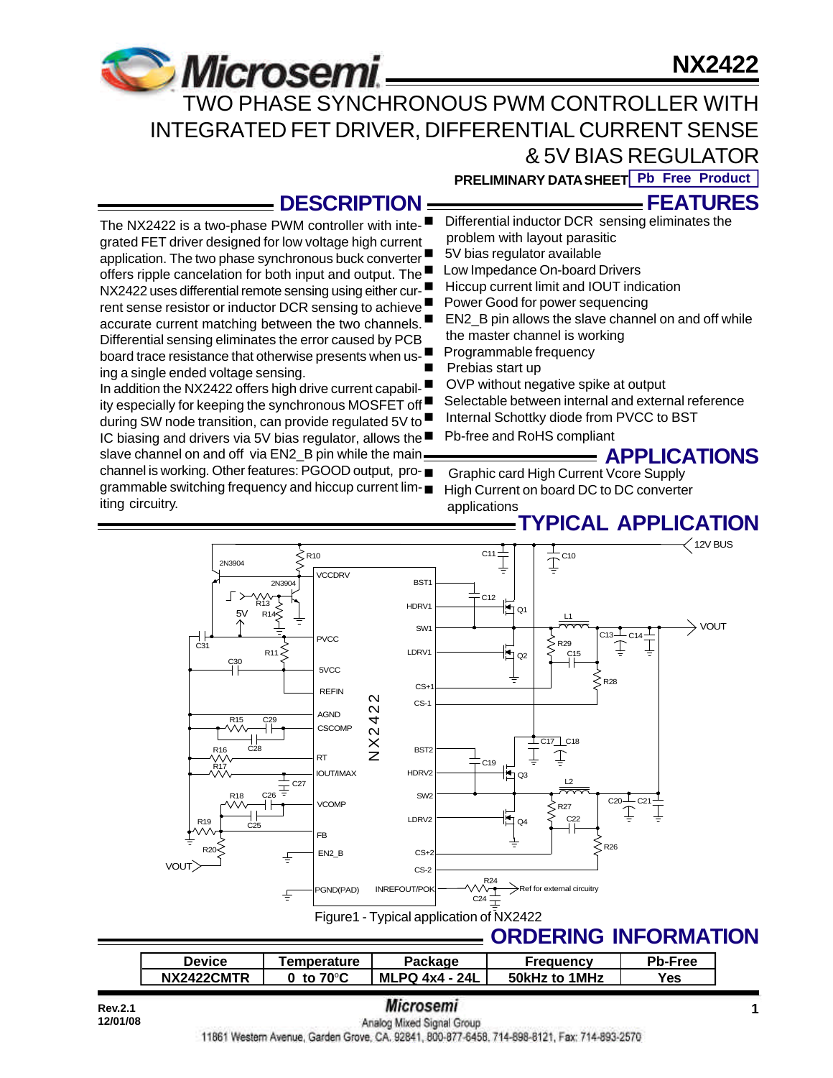# **NX2422**



application. The two phase synchronous buck converter offers ripple cancelation for both input and output. The NX2422 uses differential remote sensing using either current sense resistor or inductor DCR sensing to achieve ■ accurate current matching between the two channels. Differential sensing eliminates the error caused by PCB board trace resistance that otherwise presents when us-

In addition the NX2422 offers high drive current capability especially for keeping the synchronous MOSFET off during SW node transition, can provide regulated 5V to IC biasing and drivers via 5V bias regulator, allows the  $\blacksquare$ slave channel on and off via EN2 B pin while the main channel is working. Other features: PGOOD output, programmable switching frequency and hiccup current lim-

ing a single ended voltage sensing.

iting circuitry.

 TWO PHASE SYNCHRONOUS PWM CONTROLLER WITH INTEGRATED FET DRIVER, DIFFERENTIAL CURRENT SENSE & 5V BIAS REGULATOR

**PRELIMINARY DATA SHEET Pb Free Product**

## **DESCRIPTION**

■ Differential inductor DCR sensing eliminates the **FEATURES**

- The NX2422 is a two-phase PWM controller with integrated FET driver designed for low voltage high current problem with layout parasitic
	- 5V bias regulator available
	- Low Impedance On-board Drivers
	- Hiccup current limit and IOUT indication
	- Power Good for power sequencing
	- EN2 B pin allows the slave channel on and off while the master channel is working
	- Programmable frequency
	- Prebias start up
	- OVP without negative spike at output
	- Selectable between internal and external reference
		- Internal Schottky diode from PVCC to BST
		- Pb-free and RoHS compliant

## **APPLICATIONS**

n Graphic card High Current Vcore Supply High Current on board DC to DC converter applications

# **TYPICAL APPLICATION**



| <b>Device</b>            | <b>Femperature</b> |                        | uency         | Pb-Free |
|--------------------------|--------------------|------------------------|---------------|---------|
| <b>NX2422CMTR</b><br>NX. | 70°C<br>to         | 24L<br>ML<br>-PQ 4x4 - | 50kHz to 1MHz | Yes     |

# **Rev.2.1 1 1 1** *INICTOSEMI*

11861 Western Avenue, Garden Grove, CA. 92841, 800-877-6458, 714-898-8121, Fax: 714-893-2570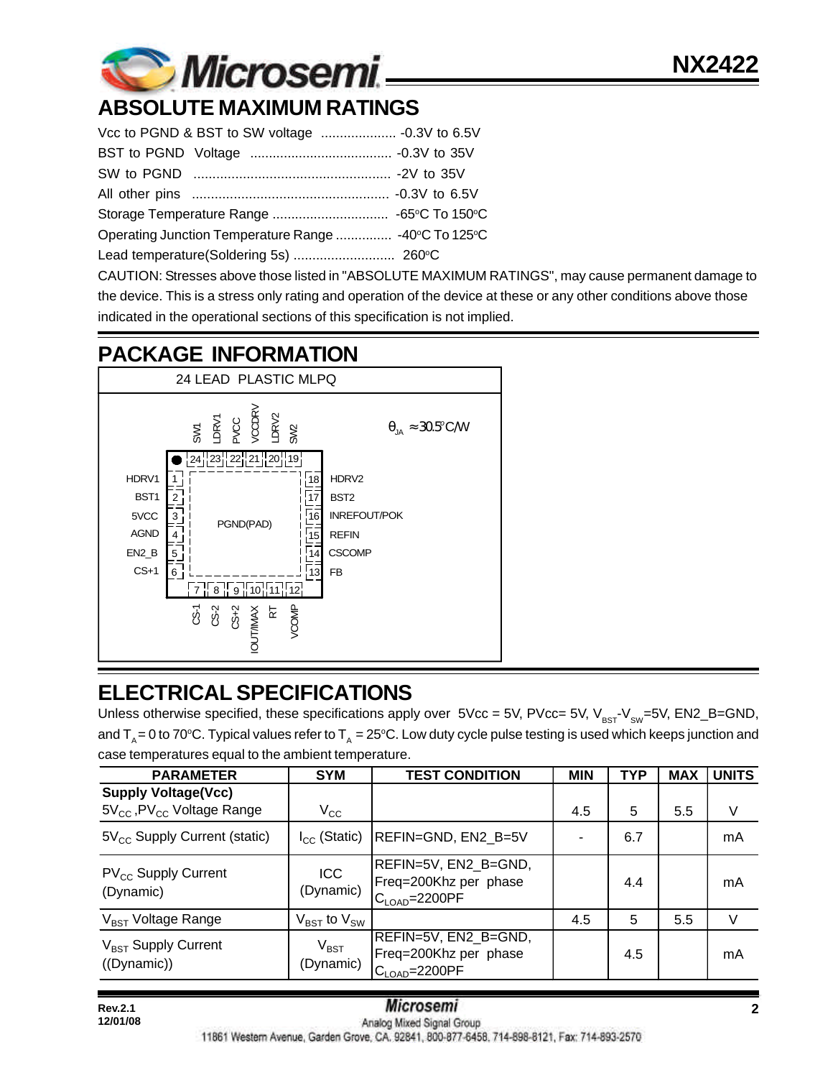

# **ABSOLUTE MAXIMUM RATINGS**

| Operating Junction Temperature Range  -40°C To 125°C |  |  |  |  |
|------------------------------------------------------|--|--|--|--|
|                                                      |  |  |  |  |

CAUTION: Stresses above those listed in "ABSOLUTE MAXIMUM RATINGS", may cause permanent damage to the device. This is a stress only rating and operation of the device at these or any other conditions above those indicated in the operational sections of this specification is not implied.

# **PACKAGE INFORMATION**



# **ELECTRICAL SPECIFICATIONS**

Unless otherwise specified, these specifications apply over  $5Vec = 5V$ ,  $PVec = 5V$ ,  $V_{BST}V_{SW}=5V$ ,  $EN2_B=GND$ , and  $T_a = 0$  to 70°C. Typical values refer to  $T_a = 25$ °C. Low duty cycle pulse testing is used which keeps junction and case temperatures equal to the ambient temperature.

| <b>PARAMETER</b>                                                                | <b>SYM</b>                          | <b>TEST CONDITION</b>                                                        | <b>MIN</b> | <b>TYP</b> | <b>MAX</b> | <b>UNITS</b>  |
|---------------------------------------------------------------------------------|-------------------------------------|------------------------------------------------------------------------------|------------|------------|------------|---------------|
| <b>Supply Voltage(Vcc)</b><br>5V <sub>cc</sub> , PV <sub>cc</sub> Voltage Range | $V_{\rm CC}$                        |                                                                              | 4.5        | 5          | 5.5        | V             |
| $5V_{CC}$ Supply Current (static)                                               | $I_{CC}$ (Static)                   | REFIN=GND, EN2_B=5V                                                          |            | 6.7        |            | mA            |
| $PV_{CC}$ Supply Current<br>(Dynamic)                                           | <b>ICC</b><br>(Dynamic)             | REFIN=5V, EN2_B=GND,<br>Freq=200Khz per phase<br>$C_{\text{LOAD}} = 2200$ PF |            | 4.4        |            | mA            |
| V <sub>BST</sub> Voltage Range                                                  | $V_{\text{BST}}$ to $V_{\text{SW}}$ |                                                                              | 4.5        | 5          | 5.5        | $\mathcal{U}$ |
| $V_{\text{BST}}$ Supply Current<br>((Dynamic))                                  | $V_{\text{BST}}$<br>(Dynamic)       | REFIN=5V, EN2_B=GND,<br>Freq=200Khz per phase<br>$C_{\text{LOAD}} = 2200$ PF |            | 4.5        |            | mA            |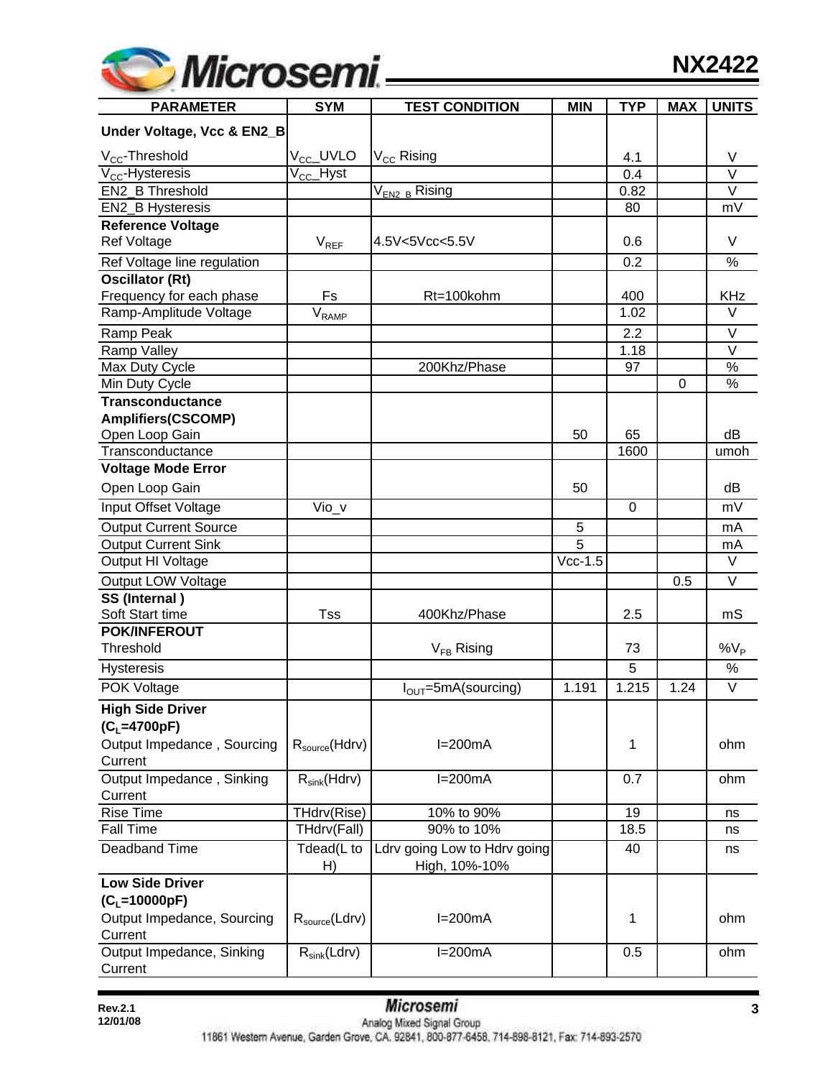

| <b>PARAMETER</b>                   | <b>SYM</b>                | <b>TEST CONDITION</b>                         | <b>MIN</b>     | <b>TYP</b> | <b>MAX</b> | <b>UNITS</b> |
|------------------------------------|---------------------------|-----------------------------------------------|----------------|------------|------------|--------------|
| Under Voltage, Vcc & EN2_B         |                           |                                               |                |            |            |              |
| $V_{CC}$ -Threshold                | V <sub>CC</sub> _UVLO     | V <sub>CC</sub> Rising                        |                | 4.1        |            | V            |
| $V_{CC}$ -Hysteresis               | $\rm V_{\rm CC}\_$ Hyst   |                                               |                | 0.4        |            | $\vee$       |
| EN2 B Threshold                    |                           | V <sub>EN2_B</sub> Rising                     |                | 0.82       |            | $\vee$       |
| EN2_B Hysteresis                   |                           |                                               |                | 80         |            | mV           |
| <b>Reference Voltage</b>           |                           |                                               |                |            |            |              |
| <b>Ref Voltage</b>                 | $V_{REF}$                 | 4.5V<5Vcc<5.5V                                |                | 0.6        |            | $\vee$       |
| Ref Voltage line regulation        |                           |                                               |                | 0.2        |            | $\%$         |
| <b>Oscillator (Rt)</b>             |                           |                                               |                |            |            |              |
| Frequency for each phase           | Fs                        | Rt=100kohm                                    |                | 400        |            | <b>KHz</b>   |
| Ramp-Amplitude Voltage             | $\bar{V}_{RAMP}$          |                                               |                | 1.02       |            | $\vee$       |
| Ramp Peak                          |                           |                                               |                | 2.2        |            | $\vee$       |
| Ramp Valley                        |                           |                                               |                | 1.18       |            | $\vee$       |
| Max Duty Cycle                     |                           | 200Khz/Phase                                  |                | 97         |            | %            |
| Min Duty Cycle                     |                           |                                               |                |            | 0          | $\%$         |
| <b>Transconductance</b>            |                           |                                               |                |            |            |              |
| <b>Amplifiers(CSCOMP)</b>          |                           |                                               | 50             | 65         |            | dB           |
| Open Loop Gain<br>Transconductance |                           |                                               |                | 1600       |            | umoh         |
| <b>Voltage Mode Error</b>          |                           |                                               |                |            |            |              |
| Open Loop Gain                     |                           |                                               | 50             |            |            | dB           |
| Input Offset Voltage               | $Vio_v$                   |                                               |                | 0          |            | mV           |
| <b>Output Current Source</b>       |                           |                                               | 5              |            |            | mA           |
| <b>Output Current Sink</b>         |                           |                                               | $\overline{5}$ |            |            | mA           |
| Output HI Voltage                  |                           |                                               | $Vcc-1.5$      |            |            | $\vee$       |
| Output LOW Voltage                 |                           |                                               |                |            | 0.5        | $\vee$       |
| SS (Internal)                      |                           |                                               |                |            |            |              |
| Soft Start time                    | <b>Tss</b>                | 400Khz/Phase                                  |                | 2.5        |            | mS           |
| <b>POK/INFEROUT</b>                |                           |                                               |                |            |            |              |
| Threshold                          |                           | $V_{FB}$ Rising                               |                | 73         |            | $\%V_P$      |
| Hysteresis                         |                           |                                               |                | 5          |            | $\%$         |
| POK Voltage                        |                           | $I_{\text{OUT}}$ =5mA(sourcing)               | 1.191          | 1.215      | 1.24       | $\vee$       |
| <b>High Side Driver</b>            |                           |                                               |                |            |            |              |
| $(C_L = 4700pF)$                   |                           |                                               |                |            |            |              |
| Output Impedance, Sourcing         | $R_{\rm source}$ (Hdrv)   | $I=200mA$                                     |                | 1          |            | ohm          |
| Current                            |                           |                                               |                |            |            |              |
| Output Impedance, Sinking          | $R_{sink}(Hdrv)$          | $I=200mA$                                     |                | 0.7        |            | ohm          |
| Current                            |                           |                                               |                |            |            |              |
| <b>Rise Time</b>                   | THdrv(Rise)               | 10% to 90%                                    |                | 19         |            | ns           |
| <b>Fall Time</b>                   | THdrv(Fall)               | 90% to 10%                                    |                | 18.5       |            | ns           |
| Deadband Time                      | Tdead(L to<br>H)          | Ldrv going Low to Hdrv going<br>High, 10%-10% |                | 40         |            | ns           |
| <b>Low Side Driver</b>             |                           |                                               |                |            |            |              |
| $(C_L=10000pF)$                    |                           |                                               |                |            |            |              |
| Output Impedance, Sourcing         | $R_{\text{source}}(Ldrv)$ | $I=200mA$                                     |                | 1          |            | ohm          |
| Current                            |                           |                                               |                |            |            |              |
| Output Impedance, Sinking          | $R_{sink}(Ldrv)$          | $I=200mA$                                     |                | 0.5        |            | ohm          |
| Current                            |                           |                                               |                |            |            |              |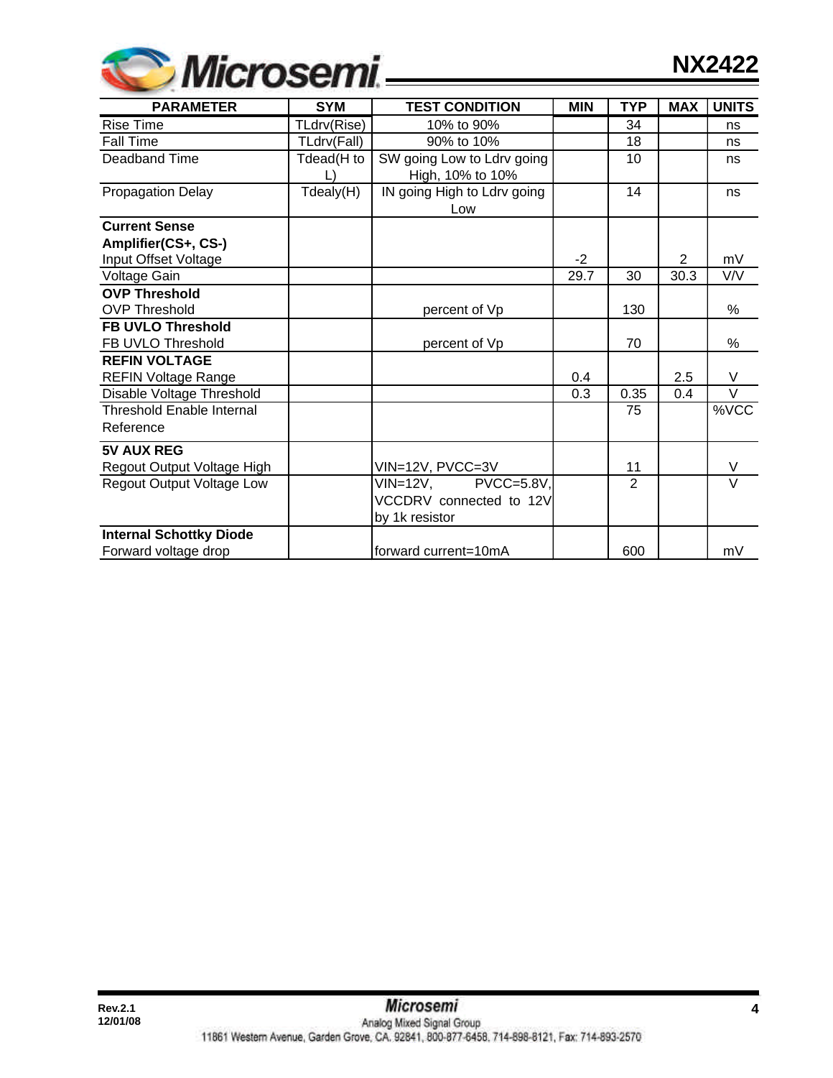| <b>Wicrosemi</b> |  |
|------------------|--|
|                  |  |

| <b>PARAMETER</b>                 | <b>SYM</b>  | <b>TEST CONDITION</b>       | <b>MIN</b> | <b>TYP</b>     | <b>MAX</b>     | <b>UNITS</b> |
|----------------------------------|-------------|-----------------------------|------------|----------------|----------------|--------------|
| <b>Rise Time</b>                 | TLdrv(Rise) | 10% to 90%                  |            | 34             |                | ns           |
| <b>Fall Time</b>                 | TLdrv(Fall) | 90% to 10%                  |            | 18             |                | ns           |
| Deadband Time                    | Tdead(H to  | SW going Low to Ldrv going  |            | 10             |                | ns           |
|                                  |             | High, 10% to 10%            |            |                |                |              |
| <b>Propagation Delay</b>         | Tdealy(H)   | IN going High to Ldrv going |            | 14             |                | ns           |
|                                  |             | Low                         |            |                |                |              |
| <b>Current Sense</b>             |             |                             |            |                |                |              |
| Amplifier(CS+, CS-)              |             |                             |            |                |                |              |
| Input Offset Voltage             |             |                             | $-2$       |                | $\overline{2}$ | mV           |
| Voltage Gain                     |             |                             | 29.7       | 30             | 30.3           | V/V          |
| <b>OVP Threshold</b>             |             |                             |            |                |                |              |
| <b>OVP Threshold</b>             |             | percent of Vp               |            | 130            |                | %            |
| <b>FB UVLO Threshold</b>         |             |                             |            |                |                |              |
| FB UVLO Threshold                |             | percent of Vp               |            | 70             |                | %            |
| <b>REFIN VOLTAGE</b>             |             |                             |            |                |                |              |
| <b>REFIN Voltage Range</b>       |             |                             | 0.4        |                | 2.5            | V            |
| Disable Voltage Threshold        |             |                             | 0.3        | 0.35           | 0.4            | $\vee$       |
| <b>Threshold Enable Internal</b> |             |                             |            | 75             |                | %VCC         |
| Reference                        |             |                             |            |                |                |              |
| <b>5V AUX REG</b>                |             |                             |            |                |                |              |
| Regout Output Voltage High       |             | VIN=12V, PVCC=3V            |            | 11             |                | V            |
| <b>Regout Output Voltage Low</b> |             | $VIN = 12V$<br>PVCC=5.8V,   |            | $\overline{2}$ |                | $\vee$       |
|                                  |             | VCCDRV connected to 12V     |            |                |                |              |
|                                  |             | by 1k resistor              |            |                |                |              |
| <b>Internal Schottky Diode</b>   |             |                             |            |                |                |              |
| Forward voltage drop             |             | forward current=10mA        |            | 600            |                | mV           |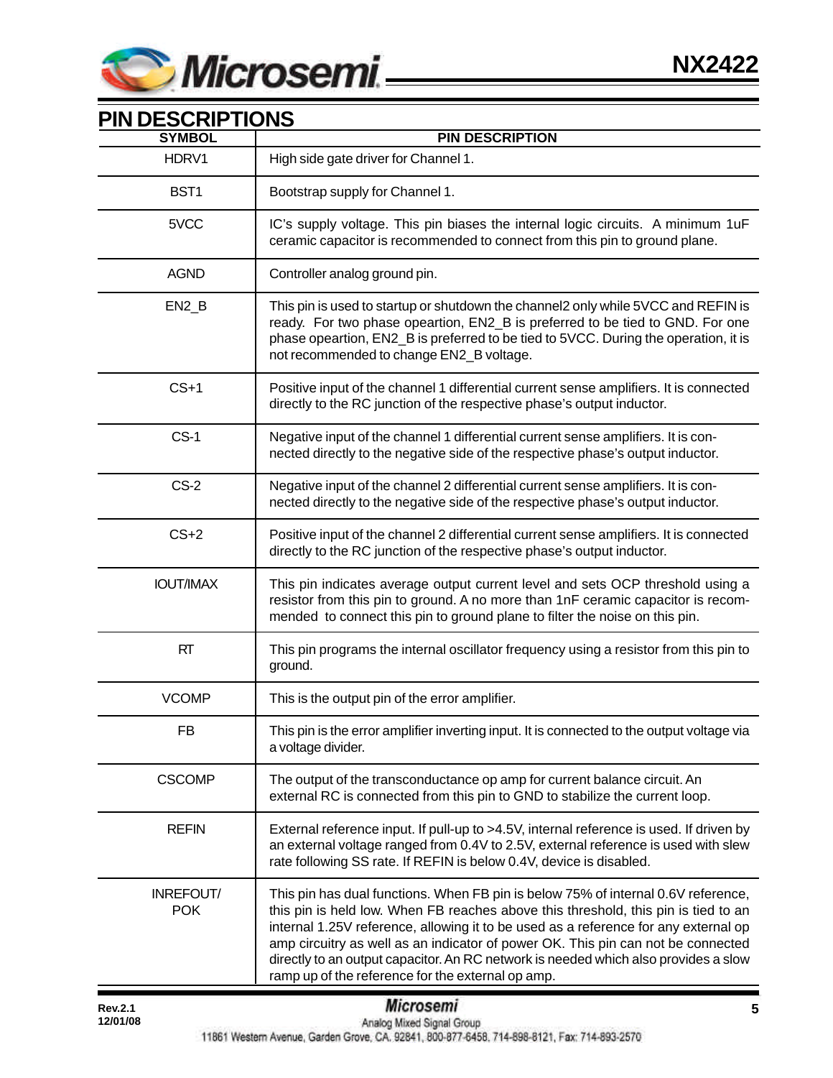

| <b>PIN DESCRIPTIONS</b><br><b>SYMBOL</b> | <b>PIN DESCRIPTION</b>                                                                                                                                                                                                                                                                                                                                                                                                                                                                         |
|------------------------------------------|------------------------------------------------------------------------------------------------------------------------------------------------------------------------------------------------------------------------------------------------------------------------------------------------------------------------------------------------------------------------------------------------------------------------------------------------------------------------------------------------|
| HDRV1                                    | High side gate driver for Channel 1.                                                                                                                                                                                                                                                                                                                                                                                                                                                           |
| BST1                                     | Bootstrap supply for Channel 1.                                                                                                                                                                                                                                                                                                                                                                                                                                                                |
| 5VCC                                     | IC's supply voltage. This pin biases the internal logic circuits. A minimum 1uF<br>ceramic capacitor is recommended to connect from this pin to ground plane.                                                                                                                                                                                                                                                                                                                                  |
| <b>AGND</b>                              | Controller analog ground pin.                                                                                                                                                                                                                                                                                                                                                                                                                                                                  |
| $EN2_B$                                  | This pin is used to startup or shutdown the channel2 only while 5VCC and REFIN is<br>ready. For two phase opeartion, EN2_B is preferred to be tied to GND. For one<br>phase opeartion, EN2_B is preferred to be tied to 5VCC. During the operation, it is<br>not recommended to change EN2_B voltage.                                                                                                                                                                                          |
| $CS+1$                                   | Positive input of the channel 1 differential current sense amplifiers. It is connected<br>directly to the RC junction of the respective phase's output inductor.                                                                                                                                                                                                                                                                                                                               |
| $CS-1$                                   | Negative input of the channel 1 differential current sense amplifiers. It is con-<br>nected directly to the negative side of the respective phase's output inductor.                                                                                                                                                                                                                                                                                                                           |
| $CS-2$                                   | Negative input of the channel 2 differential current sense amplifiers. It is con-<br>nected directly to the negative side of the respective phase's output inductor.                                                                                                                                                                                                                                                                                                                           |
| $CS+2$                                   | Positive input of the channel 2 differential current sense amplifiers. It is connected<br>directly to the RC junction of the respective phase's output inductor.                                                                                                                                                                                                                                                                                                                               |
| <b>IOUT/IMAX</b>                         | This pin indicates average output current level and sets OCP threshold using a<br>resistor from this pin to ground. A no more than 1nF ceramic capacitor is recom-<br>mended to connect this pin to ground plane to filter the noise on this pin.                                                                                                                                                                                                                                              |
| RT                                       | This pin programs the internal oscillator frequency using a resistor from this pin to<br>ground.                                                                                                                                                                                                                                                                                                                                                                                               |
| <b>VCOMP</b>                             | This is the output pin of the error amplifier.                                                                                                                                                                                                                                                                                                                                                                                                                                                 |
| FB                                       | This pin is the error amplifier inverting input. It is connected to the output voltage via<br>a voltage divider.                                                                                                                                                                                                                                                                                                                                                                               |
| <b>CSCOMP</b>                            | The output of the transconductance op amp for current balance circuit. An<br>external RC is connected from this pin to GND to stabilize the current loop.                                                                                                                                                                                                                                                                                                                                      |
| <b>REFIN</b>                             | External reference input. If pull-up to >4.5V, internal reference is used. If driven by<br>an external voltage ranged from 0.4V to 2.5V, external reference is used with slew<br>rate following SS rate. If REFIN is below 0.4V, device is disabled.                                                                                                                                                                                                                                           |
| INREFOUT/<br><b>POK</b>                  | This pin has dual functions. When FB pin is below 75% of internal 0.6V reference,<br>this pin is held low. When FB reaches above this threshold, this pin is tied to an<br>internal 1.25V reference, allowing it to be used as a reference for any external op<br>amp circuitry as well as an indicator of power OK. This pin can not be connected<br>directly to an output capacitor. An RC network is needed which also provides a slow<br>ramp up of the reference for the external op amp. |

## **PIN DESCRIPTIONS**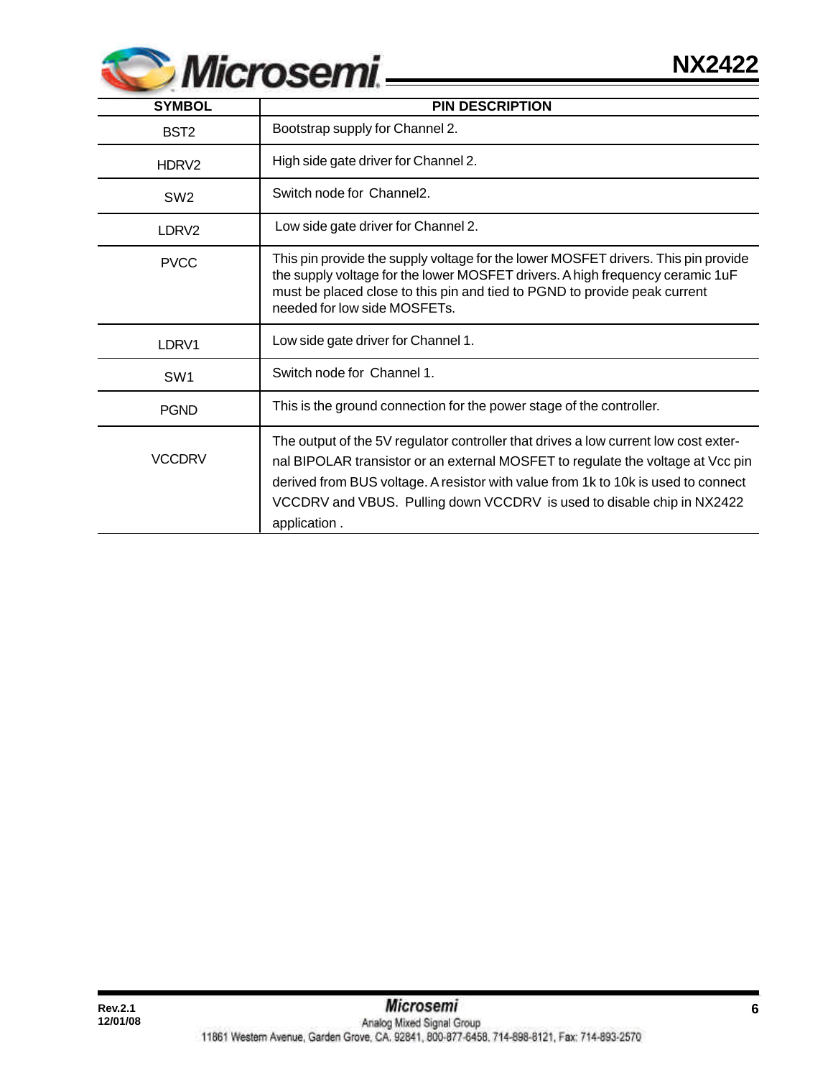

| <b>SYMBOL</b>     | <b>PIN DESCRIPTION</b>                                                                                                                                                                                                                                                                                                                                |
|-------------------|-------------------------------------------------------------------------------------------------------------------------------------------------------------------------------------------------------------------------------------------------------------------------------------------------------------------------------------------------------|
| BST <sub>2</sub>  | Bootstrap supply for Channel 2.                                                                                                                                                                                                                                                                                                                       |
| HDRV <sub>2</sub> | High side gate driver for Channel 2.                                                                                                                                                                                                                                                                                                                  |
| SW <sub>2</sub>   | Switch node for Channel2.                                                                                                                                                                                                                                                                                                                             |
| LDRV <sub>2</sub> | Low side gate driver for Channel 2.                                                                                                                                                                                                                                                                                                                   |
| <b>PVCC</b>       | This pin provide the supply voltage for the lower MOSFET drivers. This pin provide<br>the supply voltage for the lower MOSFET drivers. A high frequency ceramic 1uF<br>must be placed close to this pin and tied to PGND to provide peak current<br>needed for low side MOSFETs.                                                                      |
| LDRV1             | Low side gate driver for Channel 1.                                                                                                                                                                                                                                                                                                                   |
| SW <sub>1</sub>   | Switch node for Channel 1.                                                                                                                                                                                                                                                                                                                            |
| <b>PGND</b>       | This is the ground connection for the power stage of the controller.                                                                                                                                                                                                                                                                                  |
| <b>VCCDRV</b>     | The output of the 5V regulator controller that drives a low current low cost exter-<br>nal BIPOLAR transistor or an external MOSFET to regulate the voltage at Vcc pin<br>derived from BUS voltage. A resistor with value from 1k to 10k is used to connect<br>VCCDRV and VBUS. Pulling down VCCDRV is used to disable chip in NX2422<br>application. |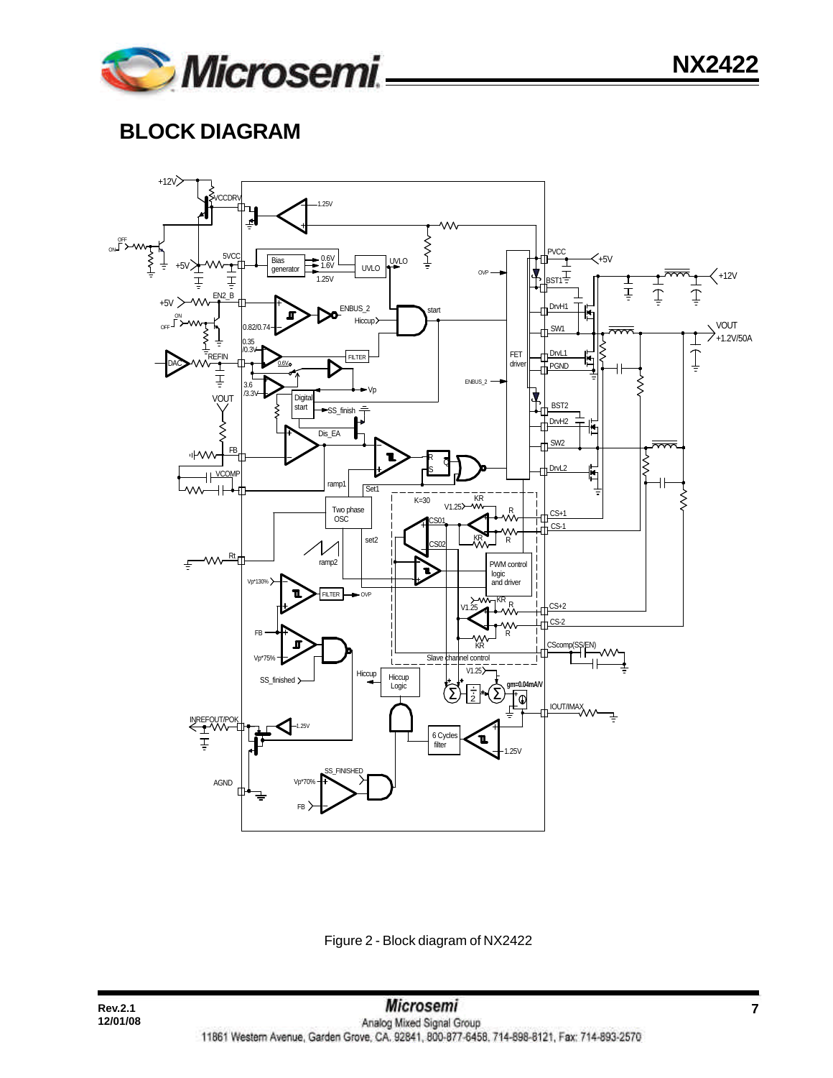# **BLOCK DIAGRAM**



Figure 2 - Block diagram of NX2422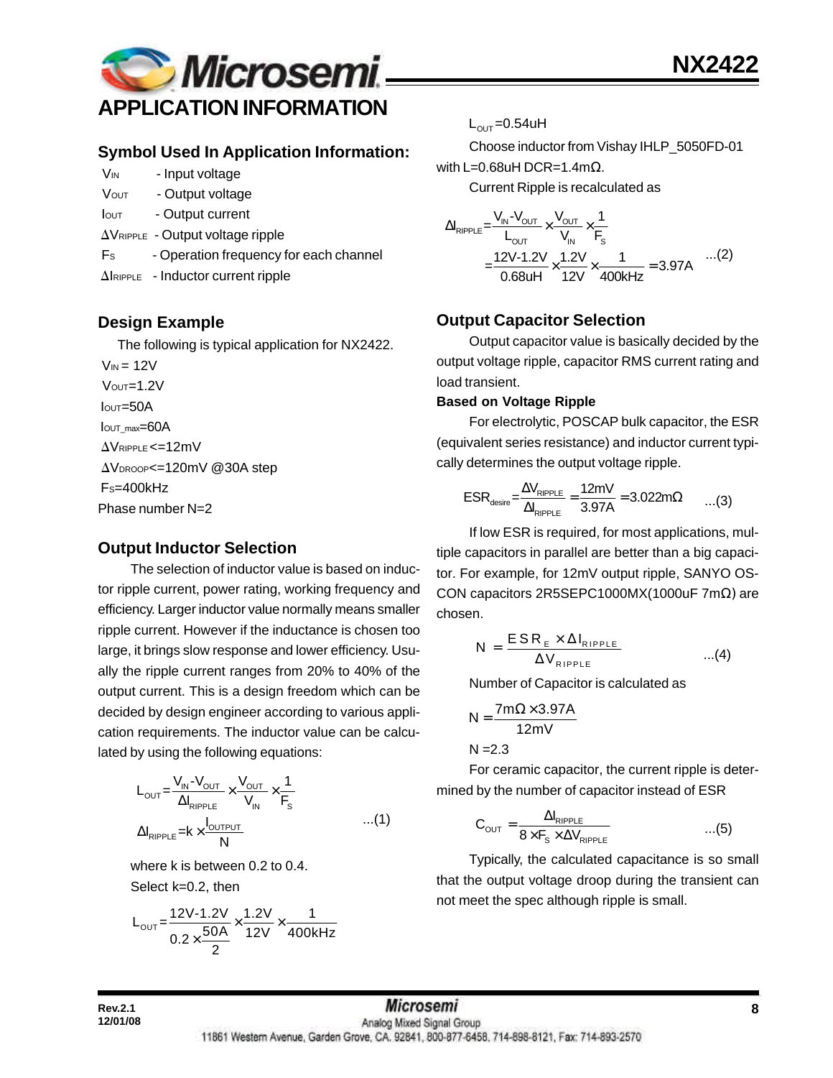

### **Symbol Used In Application Information:**

- V<sub>IN</sub> Input voltage
- VOUT Output voltage
- Iout Output current
- $\Delta V_{RIPPLE}$  Output voltage ripple
- F<sub>s</sub> Operation frequency for each channel
- $\Delta$ IRIPPLE Inductor current ripple

## **Design Example**

The following is typical application for NX2422.

 $V_{IN} = 12V$  $V$ OUT= $1.2V$  $I<sub>OUT</sub>=50A$ IOUT\_max=60A  $\Delta V$ RIPPLE <=12mV AVDROOP<=120mV @30A step FS=400kHz Phase number N=2

## **Output Inductor Selection**

The selection of inductor value is based on inductor ripple current, power rating, working frequency and efficiency. Larger inductor value normally means smaller ripple current. However if the inductance is chosen too large, it brings slow response and lower efficiency. Usually the ripple current ranges from 20% to 40% of the output current. This is a design freedom which can be decided by design engineer according to various application requirements. The inductor value can be calculated by using the following equations:

$$
L_{\text{OUT}} = \frac{V_{\text{IN}} - V_{\text{OUT}}}{\Delta I_{\text{RIPPLE}}} \times \frac{V_{\text{OUT}}}{V_{\text{IN}}} \times \frac{1}{F_s}
$$
  
 
$$
\Delta I_{\text{RIPPLE}} = k \times \frac{I_{\text{OUTPUT}}}{N} \qquad ...(1)
$$

where k is between 0.2 to 0.4. Select k=0.2, then

$$
L_{\text{OUT}} = \frac{12V - 1.2V}{0.2 \times \frac{50A}{2}} \times \frac{1.2V}{12V} \times \frac{1}{400kHz}
$$

 $L_{\text{OUT}} = 0.54$ uH

Choose inductor from Vishay IHLP\_5050FD-01 with L=0.68uH DCR=1.4mΩ.

Current Ripple is recalculated as

$$
\Delta I_{\text{RIPPLE}} = \frac{V_{\text{IN}} - V_{\text{OUT}}}{L_{\text{OUT}}} \times \frac{V_{\text{OUT}}}{V_{\text{IN}}} \times \frac{1}{F_{\text{s}}}
$$
  
= 
$$
\frac{12V - 1.2V}{0.68 \text{UH}} \times \frac{1.2V}{12V} \times \frac{1}{400 \text{kHz}} = 3.97 \text{A}
$$
...(2)

## **Output Capacitor Selection**

Output capacitor value is basically decided by the output voltage ripple, capacitor RMS current rating and load transient.

#### **Based on Voltage Ripple**

For electrolytic, POSCAP bulk capacitor, the ESR (equivalent series resistance) and inductor current typically determines the output voltage ripple.

$$
ESR_{\text{desire}} = \frac{\Delta V_{\text{RIPPLE}}}{\Delta I_{\text{RIPPLE}}} = \frac{12mV}{3.97A} = 3.022m\Omega \qquad ...(3)
$$

If low ESR is required, for most applications, multiple capacitors in parallel are better than a big capacitor. For example, for 12mV output ripple, SANYO OS-CON capacitors 2R5SEPC1000MX(1000uF 7mΩ) are chosen.

$$
N = \frac{ESR_{E} \times \Delta I_{RIPPLE}}{\Delta V_{RIPPLE}} \qquad ...(4)
$$

Number of Capacitor is calculated as

$$
N = \frac{7m\Omega \times 3.97A}{12mV}
$$

 $N = 2.3$ 

For ceramic capacitor, the current ripple is determined by the number of capacitor instead of ESR

$$
C_{\text{OUT}} = \frac{\Delta I_{\text{RipPLE}}}{8 \times F_s \times \Delta V_{\text{RipPLE}}} \qquad ...(5)
$$

Typically, the calculated capacitance is so small that the output voltage droop during the transient can not meet the spec although ripple is small.

# **Rev.2.1 8** 11861 Western Avenue, Garden Grove, CA. 92841, 800-877-6458, 714-898-8121, Fax: 714-893-2570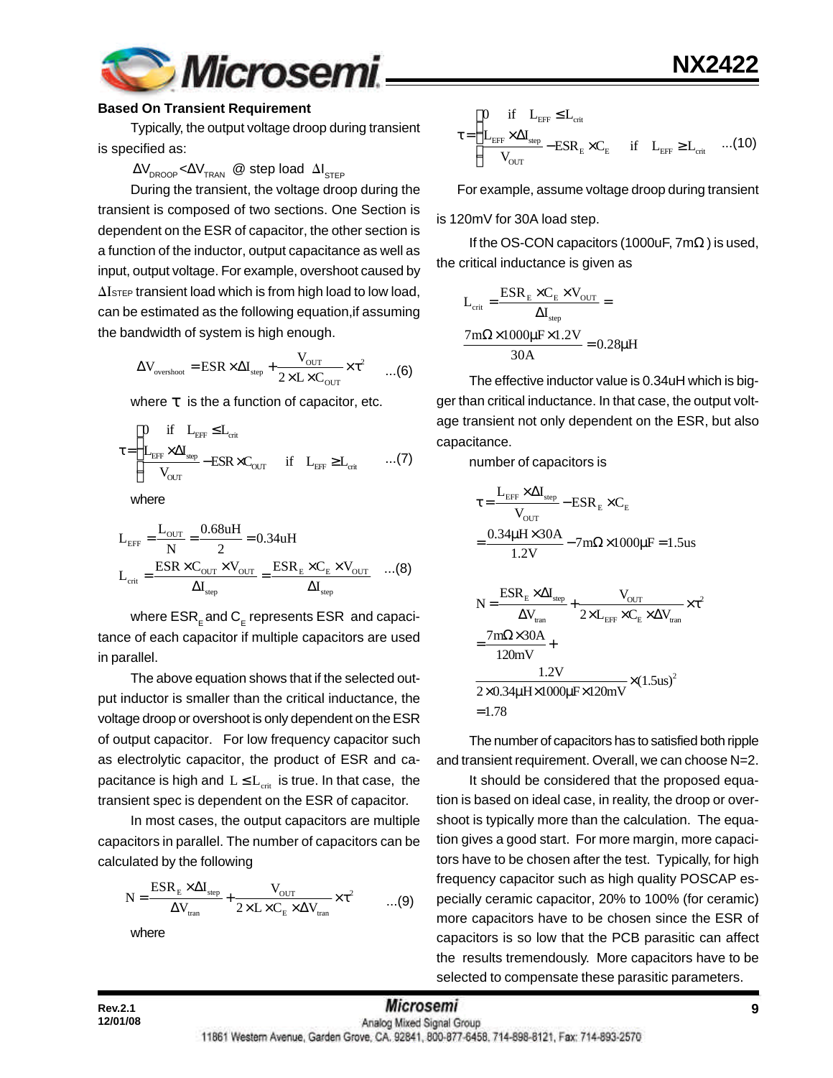

#### **Based On Transient Requirement**

Typically, the output voltage droop during transient is specified as:

#### $\Delta\rm{V}_{\rm{DROOP}}$ < $\Delta\rm{V}_{\rm{TRAN}}$  @ step load  $\Delta\rm{I}_{\rm{STEP}}$

During the transient, the voltage droop during the transient is composed of two sections. One Section is dependent on the ESR of capacitor, the other section is a function of the inductor, output capacitance as well as input, output voltage. For example, overshoot caused by  $\Delta I$ <sub>STEP</sub> transient load which is from high load to low load, can be estimated as the following equation,if assuming the bandwidth of system is high enough.

$$
\Delta V_{\text{overshoot}} = \text{ESR} \times \Delta I_{\text{step}} + \frac{V_{\text{OUT}}}{2 \times L \times C_{\text{OUT}}} \times \tau^2 \qquad ...(6)
$$

where *t* is the a function of capacitor, etc.

$$
\tau \!=\! \begin{cases} \!\!\!\!\! 0 \quad \text{if} \quad L_{\text{EFF}} \!\leq\! L_{\text{crit}} \\ \!\!\!\!\! L_{\text{EFF}} \!\times\! \Delta I_{\text{step}} \!-\! \text{ESR} \!\times\! C_{\text{OUT}} \quad \text{if} \quad L_{\text{EFF}} \!\geq\! L_{\text{crit}} \qquad ... (7) \end{cases}
$$

where

$$
L_{\text{EFF}} = \frac{L_{\text{OUT}}}{N} = \frac{0.68uH}{2} = 0.34uH
$$

$$
L_{\text{crit}} = \frac{ESR \times C_{\text{OUT}} \times V_{\text{OUT}}}{\Delta I_{\text{step}}} = \frac{ESR_{\text{E}} \times C_{\text{E}} \times V_{\text{OUT}}}{\Delta I_{\text{step}}} \quad ...(8)
$$

where  $\mathsf{ESR}_\mathsf{E}$  and  $\mathsf{C}_\mathsf{E}$  represents  $\mathsf{ESR}\,$  and capacitance of each capacitor if multiple capacitors are used in parallel.

The above equation shows that if the selected output inductor is smaller than the critical inductance, the voltage droop or overshoot is only dependent on the ESR of output capacitor. For low frequency capacitor such as electrolytic capacitor, the product of ESR and capacitance is high and  $L \le L_{crit}$  is true. In that case, the transient spec is dependent on the ESR of capacitor.

In most cases, the output capacitors are multiple capacitors in parallel. The number of capacitors can be calculated by the following

$$
N = \frac{ESR_{\rm E} \times \Delta I_{\rm step}}{\Delta V_{\rm tran}} + \frac{V_{\rm OUT}}{2 \times L \times C_{\rm E} \times \Delta V_{\rm tran}} \times \tau^2 \qquad \qquad ...(9)
$$

where

EFF crit EFF step E E EFF crit OUT 0 if L L L I ESR C if L L V ≤ τ = ×Δ − × ≥ ...(10)

For example, assume voltage droop during transient

is 120mV for 30A load step.

If the OS-CON capacitors (1000uF,  $7m\Omega$ ) is used, the critical inductance is given as

$$
L_{\text{crit}} = \frac{ESR_{\text{E}} \times C_{\text{E}} \times V_{\text{OUT}}}{\Delta I_{\text{step}}} =
$$

$$
\frac{7\text{m}\Omega \times 1000\mu\text{F} \times 1.2V}{30\text{A}} = 0.28\mu\text{H}
$$

The effective inductor value is 0.34uH which is bigger than critical inductance. In that case, the output voltage transient not only dependent on the ESR, but also capacitance.

number of capacitors is

$$
\tau = \frac{L_{\text{EFF}} \times \Delta I_{\text{step}}}{V_{\text{OUT}}} - \text{ESR}_{\text{E}} \times C_{\text{E}}
$$
\n
$$
= \frac{0.34 \mu H \times 30 \text{A}}{1.2 \text{V}} - 7 \text{m}\Omega \times 1000 \mu \text{F} = 1.5 \text{us}
$$
\n
$$
N = \frac{\text{ESR}_{\text{E}} \times \Delta I_{\text{step}}}{\Delta V_{\text{tran}}} + \frac{V_{\text{OUT}}}{2 \times L_{\text{EFF}} \times C_{\text{E}} \times \Delta V_{\text{tran}}} \times \tau^{2}
$$
\n
$$
= \frac{7 \text{m}\Omega \times 30 \text{A}}{120 \text{mV}} + \frac{1.2 \text{V}}{2 \times 0.34 \mu \text{H} \times 1000 \mu \text{F} \times 120 \text{mV}} \times (1.5 \text{us})^{2}
$$
\n= 1.78

The number of capacitors has to satisfied both ripple and transient requirement. Overall, we can choose N=2.

It should be considered that the proposed equation is based on ideal case, in reality, the droop or overshoot is typically more than the calculation. The equation gives a good start. For more margin, more capacitors have to be chosen after the test. Typically, for high frequency capacitor such as high quality POSCAP especially ceramic capacitor, 20% to 100% (for ceramic) more capacitors have to be chosen since the ESR of capacitors is so low that the PCB parasitic can affect the results tremendously. More capacitors have to be selected to compensate these parasitic parameters.

**12/01/08**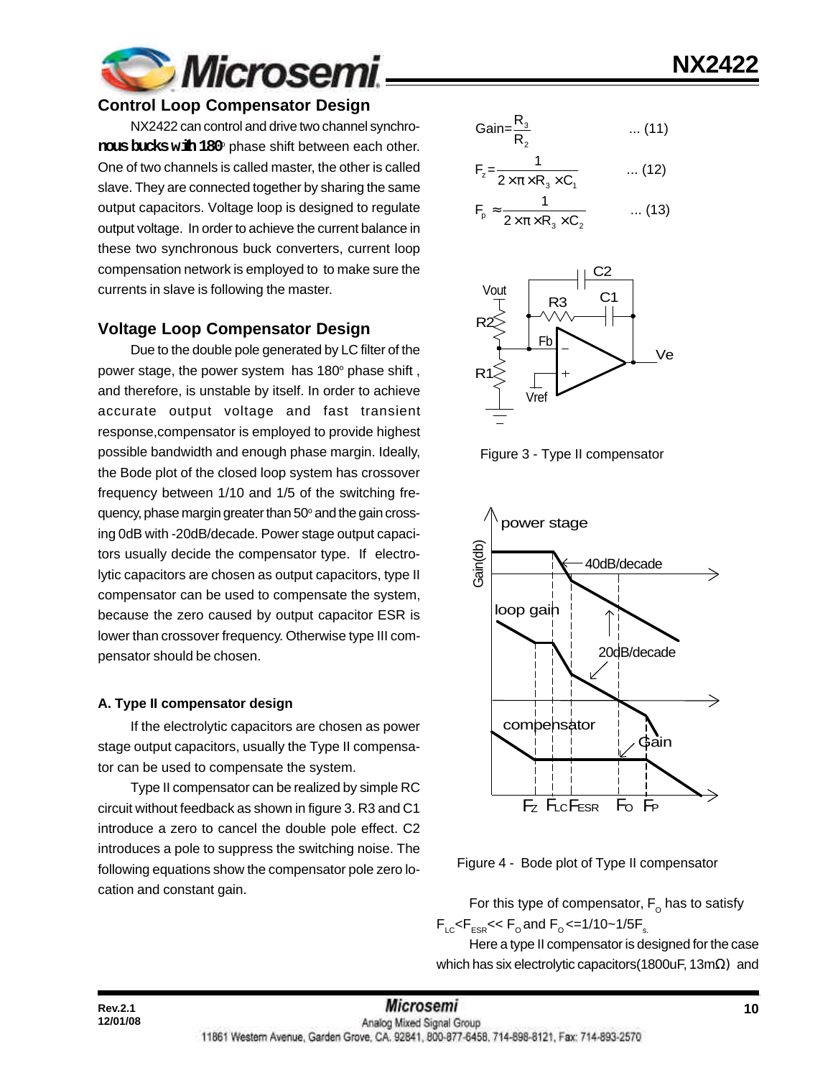

#### **Control Loop Compensator Design**

NX2422 can control and drive two channel synchro- ${\rm \bf \text{rows}\,\text{b}x}$ ks w ${\rm \bf \text{th}}\,180^{\circ}$  phase shift between each other. One of two channels is called master, the other is called slave. They are connected together by sharing the same output capacitors. Voltage loop is designed to regulate output voltage. In order to achieve the current balance in these two synchronous buck converters, current loop compensation network is employed to to make sure the currents in slave is following the master.

#### **Voltage Loop Compensator Design**

Due to the double pole generated by LC filter of the power stage, the power system has 180° phase shift, and therefore, is unstable by itself. In order to achieve accurate output voltage and fast transient response,compensator is employed to provide highest possible bandwidth and enough phase margin. Ideally, the Bode plot of the closed loop system has crossover frequency between 1/10 and 1/5 of the switching frequency, phase margin greater than 50° and the gain crossing 0dB with -20dB/decade. Power stage output capacitors usually decide the compensator type. If electrolytic capacitors are chosen as output capacitors, type II compensator can be used to compensate the system, because the zero caused by output capacitor ESR is lower than crossover frequency. Otherwise type III compensator should be chosen.

#### **A. Type II compensator design**

**12/01/08**

If the electrolytic capacitors are chosen as power stage output capacitors, usually the Type II compensator can be used to compensate the system.

Type II compensator can be realized by simple RC circuit without feedback as shown in figure 3. R3 and C1 introduce a zero to cancel the double pole effect. C2 introduces a pole to suppress the switching noise. The following equations show the compensator pole zero location and constant gain.

$$
Gain = \frac{R_3}{R_2} \qquad \qquad \dots (11)
$$

$$
F_z = \frac{1}{2 \times \pi \times R_3 \times C_1} \qquad \qquad \dots (12)
$$

$$
F_p \approx \frac{1}{2 \times \pi \times R_3 \times C_2} \qquad \dots (13)
$$



Figure 3 - Type II compensator



Figure 4 - Bode plot of Type II compensator

For this type of compensator,  $\mathsf{F}_\mathsf{o}$  has to satisfy  $F_{LC}$ < $F_{ESR}$ << $F_{O}$  and  $F_{O}$  <=1/10~1/5 $F_{S}$ 

Here a type II compensator is designed for the case which has six electrolytic capacitors(1800uF, 13mΩ) and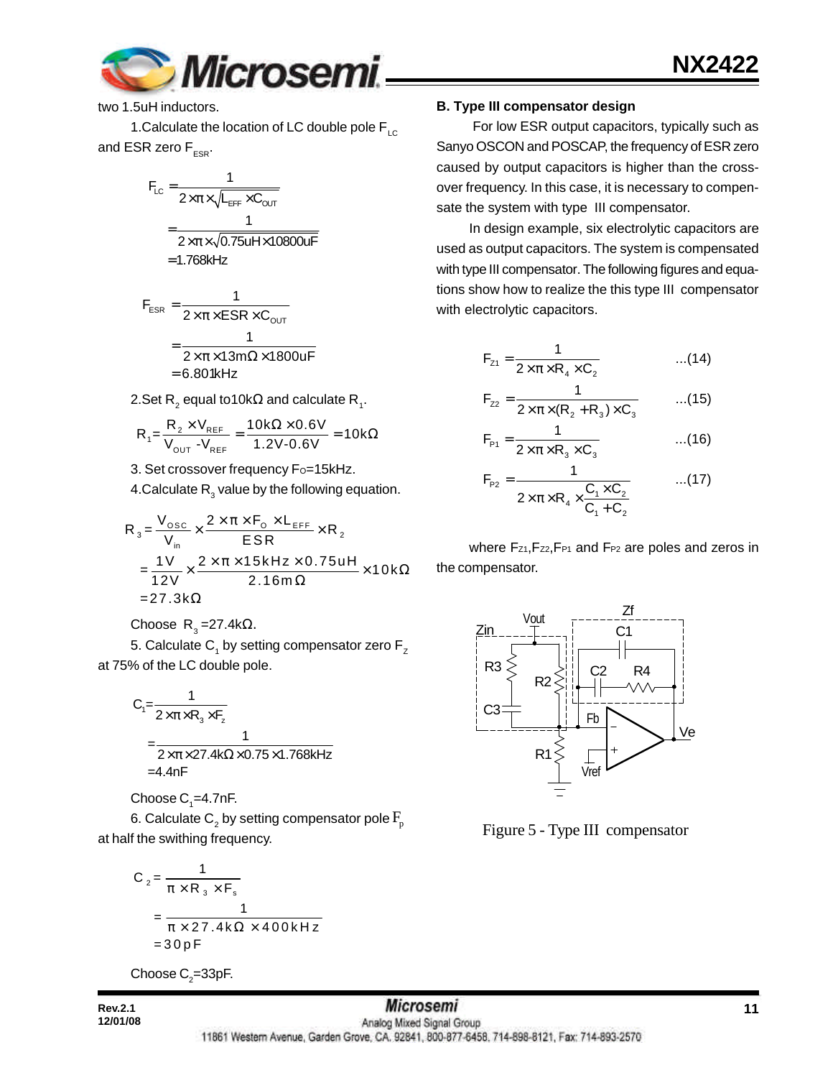

two 1.5uH inductors.

1. Calculate the location of LC double pole  $F_{\text{LC}}$ and ESR zero  $F_{ESR}$ .

$$
F_{LC} = \frac{1}{2 \times \pi \times \sqrt{L_{EFF} \times C_{OUT}}}
$$

$$
= \frac{1}{2 \times \pi \times \sqrt{0.75 u H \times 10800 u F}}
$$

$$
= 1.768 kHz
$$

$$
F_{ESR} = \frac{1}{2 \times \pi \times ESR \times C_{OUT}}
$$

$$
= \frac{1}{2 \times \pi \times 13 \text{ m}\Omega \times 1800 \text{ uF}}
$$

$$
= 6.801 \text{kHz}
$$

2.Set R $_2$  equal to10k $\Omega$  and calculate R $_{_1}$ .

$$
R_1 = \frac{R_2 \times V_{REF}}{V_{OUT} - V_{REF}} = \frac{10k\Omega \times 0.6V}{1.2V - 0.6V} = 10k\Omega
$$

3. Set crossover frequency Fo=15kHz.

4.Calculate  $\mathsf{R}_{_{3}}$  value by the following equation.

$$
R_{3} = \frac{V_{\text{osc}}}{V_{\text{in}}} \times \frac{2 \times \pi \times F_{\text{o}} \times L_{\text{EFF}}}{ESR} \times R_{2}
$$
  
= 
$$
\frac{1V}{12V} \times \frac{2 \times \pi \times 15kHz \times 0.75uH}{2.16m\Omega} \times 10k\Omega
$$
  
= 27.3k $\Omega$ 

Choose R<sub>3</sub>=27.4kΩ.

5. Calculate  $\mathsf{C}_\mathtt{1}$  by setting compensator zero  $\mathsf{F}_\mathtt{Z}$ at 75% of the LC double pole.

$$
C_1 = \frac{1}{2 \times \pi \times R_3 \times F_z}
$$
  
= 
$$
\frac{1}{2 \times \pi \times 27.4 \text{k}\Omega \times 0.75 \times 1.768 \text{kHz}}
$$
  
= 4.4nF

Choose  $\mathsf{C}_\text{\tiny{1}}$ =4.7nF.

6. Calculate  $\mathsf{C}_\mathsf{2}$  by setting compensator pole  $\mathrm{F}_\mathsf{p}$ at half the swithing frequency.

$$
C_2 = \frac{1}{\pi \times R_3 \times F_s}
$$
  
= 
$$
\frac{1}{\pi \times 27.4 \text{ k}\Omega \times 400 \text{ kHz}}
$$
  
= 30 pF

Choose  $\mathsf{C}_2$ =33pF.

#### **Rev.2.1 11 11** *MICrOSEMI* **11 12/01/08**

**B. Type III compensator design**

 For low ESR output capacitors, typically such as Sanyo OSCON and POSCAP, the frequency of ESR zero caused by output capacitors is higher than the crossover frequency. In this case, it is necessary to compensate the system with type III compensator.

In design example, six electrolytic capacitors are used as output capacitors. The system is compensated with type III compensator. The following figures and equations show how to realize the this type III compensator with electrolytic capacitors.

$$
F_{z_1} = \frac{1}{2 \times \pi \times R_4 \times C_2}
$$
...(14)

$$
F_{z2} = \frac{1}{2 \times \pi \times (R_2 + R_3) \times C_3}
$$
...(15)

$$
F_{p_1} = \frac{1}{2 \times \pi \times R_3 \times C_3}
$$
...(16)

$$
F_{p_2} = \frac{1}{2 \times \pi \times R_4 \times \frac{C_1 \times C_2}{C_1 + C_2}}
$$
...(17)

where Fz1, Fz2, FP1 and FP2 are poles and zeros in the compensator.



Figure 5 - Type III compensator

11861 Western Avenue, Garden Grove, CA. 92841, 800-877-6458. 714-898-8121, Fax: 714-893-2570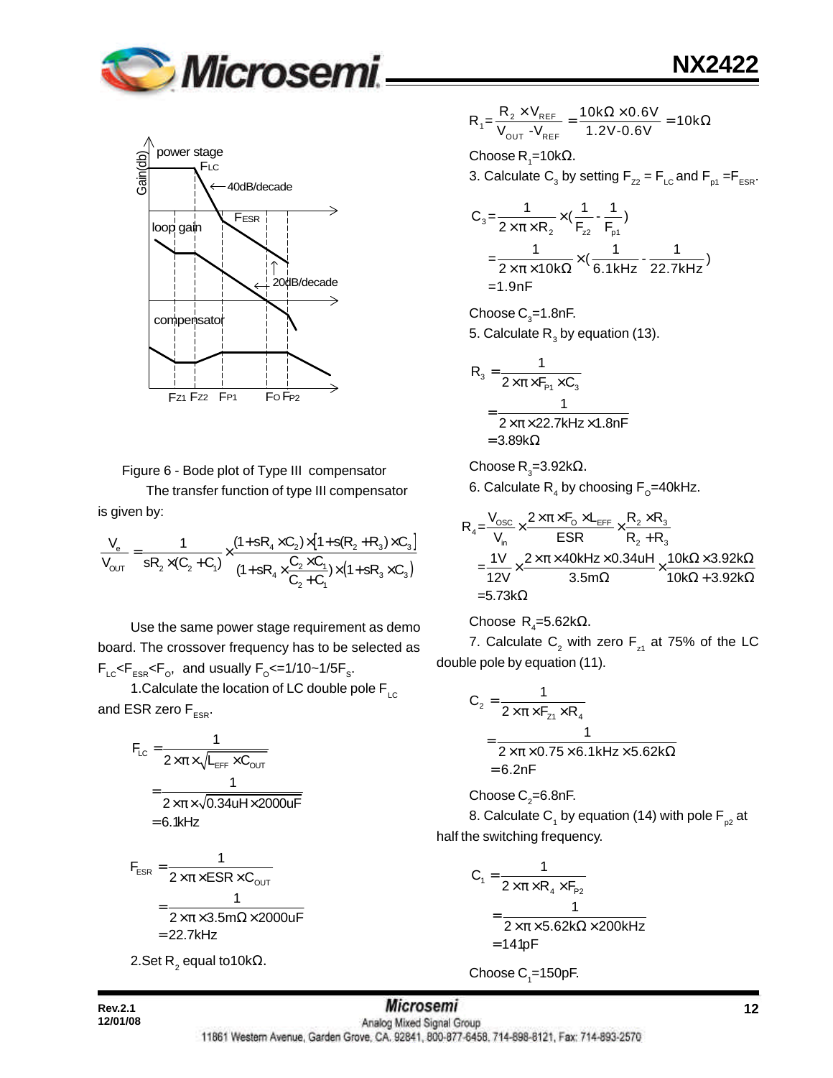



Figure 6 - Bode plot of Type III compensator

The transfer function of type III compensator is given by:

$$
\frac{V_e}{V_{OUT}} = \frac{1}{sR_2 \times (C_2 + C_1)} \times \frac{(1 + sR_4 \times C_2) \times [1 + s(R_2 + R_3) \times C_3]}{(1 + sR_4 \times \frac{C_2 \times C_1}{C_2 + C_1}) \times (1 + sR_3 \times C_3)}
$$

Use the same power stage requirement as demo board. The crossover frequency has to be selected as  $F_{LC}$ < $F_{ESR}$ < $F_{O}$ , and usually  $F_{O}$ <=1/10~1/5 $F_{S}$ .

1. Calculate the location of LC double pole  $F_{LC}$ and ESR zero  $F_{ESR}$ .

$$
F_{LC} = \frac{1}{2 \times \pi \times \sqrt{L_{EFF} \times C_{OUT}}}
$$

$$
= \frac{1}{2 \times \pi \times \sqrt{0.34 u H \times 2000 u F}}
$$

$$
= 6.1 k Hz
$$

$$
F_{ESR} = \frac{1}{2 \times \pi \times ESR \times C_{OUT}}
$$

$$
= \frac{1}{2 \times \pi \times 3.5m\Omega \times 2000 \text{UF}}
$$

$$
= 22.7 \text{kHz}
$$

2.Set R $_{2}$  equal to10kΩ.

$$
R_1 = \frac{R_2 \times V_{REF}}{V_{OUT} - V_{REF}} = \frac{10k\Omega \times 0.6V}{1.2V - 0.6V} = 10k\Omega
$$

Choose R<sub>1</sub>=10kΩ.

3. Calculate  $\mathsf{C}_3$  by setting  $\mathsf{F}_{z2}$  =  $\mathsf{F}_{\mathsf{LC}}$  and  $\mathsf{F}_{\mathsf{p1}}$  = $\mathsf{F}_{\mathsf{ESR}}$ .

**NX2422**

$$
C_3 = \frac{1}{2 \times \pi \times R_2} \times (\frac{1}{F_{z2}} - \frac{1}{F_{p1}})
$$
  
=  $\frac{1}{2 \times \pi \times 10k\Omega} \times (\frac{1}{6.1kHz} - \frac{1}{22.7kHz})$   
= 1.9nF

Choose  $\text{C}_3$ =1.8nF. 5. Calculate  $\mathsf{R}_{_{3}}$  by equation (13).

$$
R_{3} = \frac{1}{2 \times \pi \times F_{P1} \times C_{3}}
$$
  
= 
$$
\frac{1}{2 \times \pi \times 22.7 \text{kHz} \times 1.8 \text{nF}}
$$
  
= 3.89k\Omega

Choose R<sub>3</sub>=3.92k $\Omega$ .

6. Calculate  $\mathsf{R}_{_4}$  by choosing  $\mathsf{F}_{_{\text{\tiny O}}}$ =40kHz.

$$
R_4 = \frac{V_{\text{osc}}}{V_{\text{in}}} \times \frac{2 \times \pi \times F_0 \times L_{\text{eff}}}{ESR} \times \frac{R_2 \times R_3}{R_2 + R_3}
$$
  
=  $\frac{1V}{12V} \times \frac{2 \times \pi \times 40kHz \times 0.34uH}{3.5m\Omega} \times \frac{10k\Omega \times 3.92k\Omega}{10k\Omega + 3.92k\Omega}$   
= 5.73k\Omega

Choose R<sup>4</sup> =5.62kΩ.

7. Calculate  $\mathsf{C}_2^{}$  with zero  $\mathsf{F}_{\mathsf{z}^1}$  at 75% of the LC double pole by equation (11).

$$
C_2 = \frac{1}{2 \times \pi \times F_{z1} \times R_4}
$$
  
= 
$$
\frac{1}{2 \times \pi \times 0.75 \times 6.1 \text{kHz} \times 5.62 \text{k}\Omega}
$$
  
= 6.2nF

Choose C $_{\textrm{\tiny{2}}}$ =6.8nF.

8. Calculate C<sub>1</sub> by equation (14) with pole F<sub>p2</sub> at half the switching frequency.

$$
C_1 = \frac{1}{2 \times \pi \times R_4 \times F_{P2}}
$$
  
= 
$$
\frac{1}{2 \times \pi \times 5.62 k\Omega \times 200 kHz}
$$
  
= 141pF

Choose  $\mathrm{C}_\text{\tiny{1}}$ =150pF.

**Rev.2.1 12 12** *MICrosemI* **12** 11861 Western Avenue, Garden Grove, CA. 92841, 800-877-6458, 714-898-8121, Fax: 714-893-2570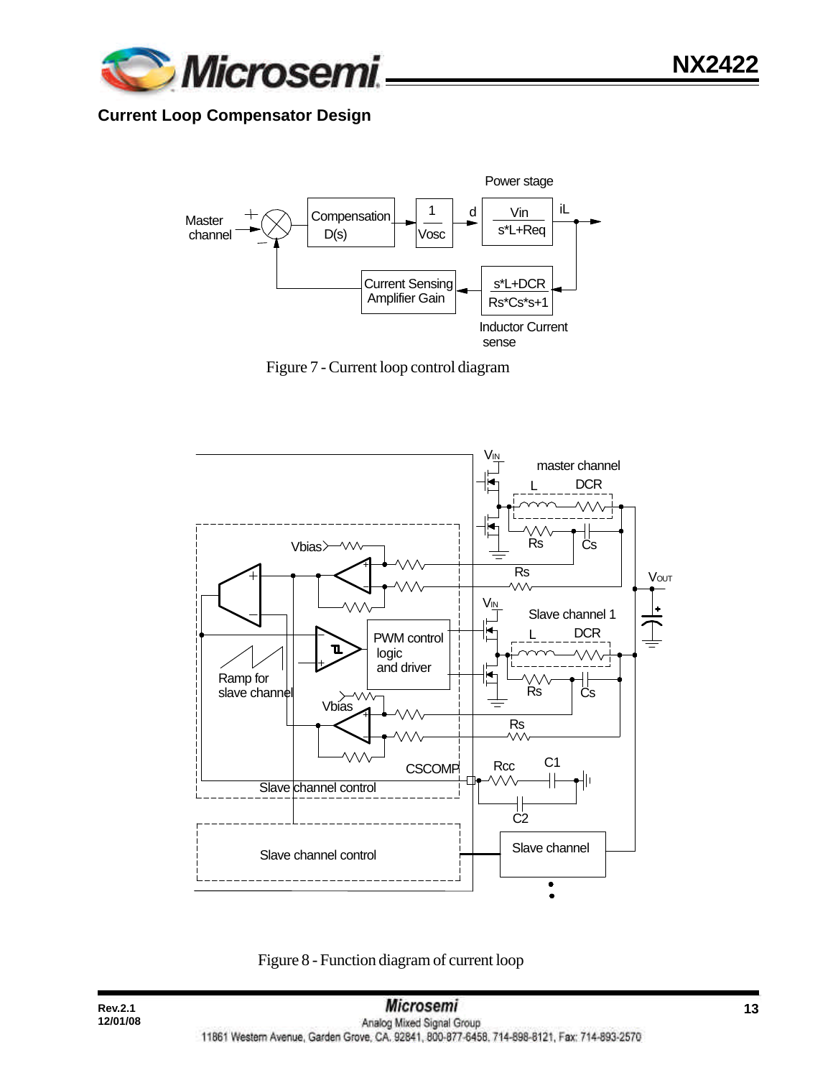

## **Current Loop Compensator Design**



Figure 7 - Current loop control diagram



Figure 8 - Function diagram of current loop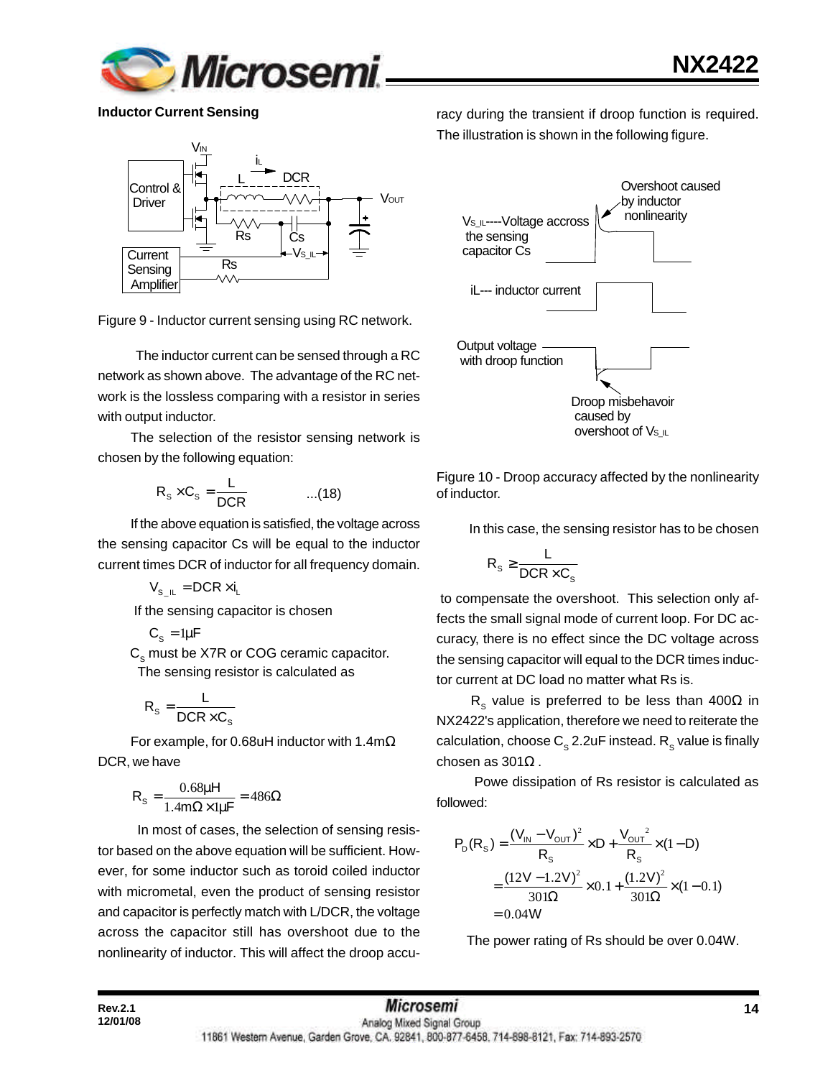

**Inductor Current Sensing**



Figure 9 - Inductor current sensing using RC network.

 The inductor current can be sensed through a RC network as shown above. The advantage of the RC network is the lossless comparing with a resistor in series with output inductor.

The selection of the resistor sensing network is chosen by the following equation:

$$
R_s \times C_s = \frac{L}{DCR} \qquad \qquad ...(18)
$$

If the above equation is satisfied, the voltage across the sensing capacitor Cs will be equal to the inductor current times DCR of inductor for all frequency domain.

 $V_{\rm s}$   $_{\rm II}$  = DCR  $\times$  i<sub>1</sub>

If the sensing capacitor is chosen

$$
C_{s} = 1\mu F
$$

 $\textsf{C}_\text{s}$  must be X7R or COG ceramic capacitor. The sensing resistor is calculated as

$$
R_{s} = \frac{L}{DCR \times C_{s}}
$$

For example, for 0.68uH inductor with 1.4mΩ DCR, we have

$$
R_s = \frac{0.68\mu H}{1.4m\Omega \times 1\mu F} = 486\Omega
$$

 In most of cases, the selection of sensing resistor based on the above equation will be sufficient. However, for some inductor such as toroid coiled inductor with micrometal, even the product of sensing resistor and capacitor is perfectly match with L/DCR, the voltage across the capacitor still has overshoot due to the nonlinearity of inductor. This will affect the droop accuracy during the transient if droop function is required. The illustration is shown in the following figure.



Figure 10 - Droop accuracy affected by the nonlinearity of inductor.

In this case, the sensing resistor has to be chosen

$$
R_s \geq \frac{L}{DCR \times C_s}
$$

 to compensate the overshoot. This selection only affects the small signal mode of current loop. For DC accuracy, there is no effect since the DC voltage across the sensing capacitor will equal to the DCR times inductor current at DC load no matter what Rs is.

R<sub>s</sub> value is preferred to be less than 400 $\Omega$  in NX2422's application, therefore we need to reiterate the calculation, choose  $\textsf{C}_\text{s}$  2.2uF instead.  $\textsf{R}_\text{s}$  value is finally chosen as 301Ω .

 Powe dissipation of Rs resistor is calculated as followed:

$$
P_{D}(R_{S}) = \frac{(V_{IN} - V_{OUT})^{2}}{R_{S}} \times D + \frac{V_{OUT}^{2}}{R_{S}} \times (1 - D)
$$
  
= 
$$
\frac{(12V - 1.2V)^{2}}{301\Omega} \times 0.1 + \frac{(1.2V)^{2}}{301\Omega} \times (1 - 0.1)
$$
  
= 0.04W

The power rating of Rs should be over 0.04W.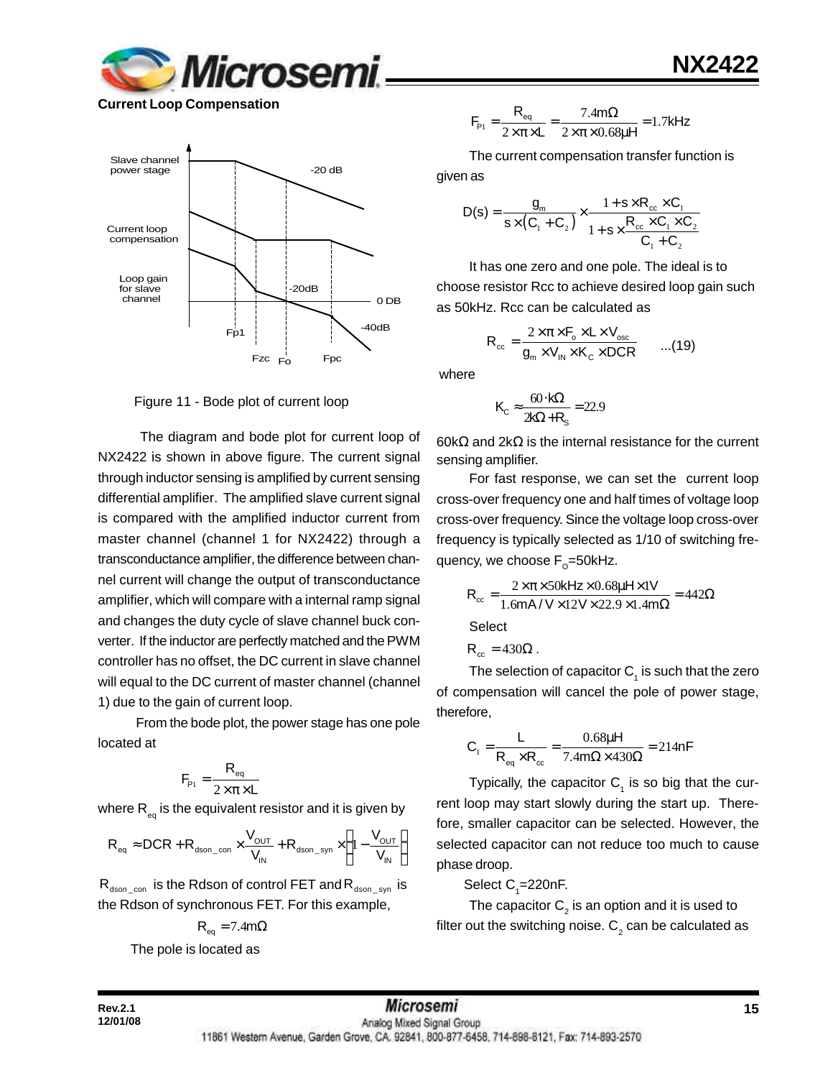

**Current Loop Compensation**



Figure 11 - Bode plot of current loop

 The diagram and bode plot for current loop of NX2422 is shown in above figure. The current signal through inductor sensing is amplified by current sensing differential amplifier. The amplified slave current signal is compared with the amplified inductor current from master channel (channel 1 for NX2422) through a transconductance amplifier, the difference between channel current will change the output of transconductance amplifier, which will compare with a internal ramp signal and changes the duty cycle of slave channel buck converter. If the inductor are perfectly matched and the PWM controller has no offset, the DC current in slave channel will equal to the DC current of master channel (channel 1) due to the gain of current loop.

 From the bode plot, the power stage has one pole located at

$$
F_{\rm p1} = \frac{R_{\rm eq}}{2 \times \pi \times L}
$$

where  $\mathsf{R}_{_\mathsf{eq}}$  is the equivalent resistor and it is given by

$$
R_{\text{eq}} \approx DCR + R_{\text{dson\_con}} \times \frac{V_{\text{OUT}}}{V_{\text{IN}}} + R_{\text{dson\_syn}} \times \left(1 - \frac{V_{\text{OUT}}}{V_{\text{IN}}}\right)
$$

 $R_{dson\_con}$  is the Rdson of control FET and  $R_{dson\_syn}$  is the Rdson of synchronous FET. For this example,

$$
R_{\text{eq}} = 7.4 \text{m}\Omega
$$

The pole is located as

$$
F_{\rm p1} = \frac{R_{\rm eq}}{2 \times \pi \times L} = \frac{7.4 \text{ m}\Omega}{2 \times \pi \times 0.68 \mu H} = 1.7 \text{kHz}
$$

The current compensation transfer function is

given as

$$
D(s) = \frac{g_m}{s \times (C_1 + C_2)} \times \frac{1 + s \times R_{cc} \times C_1}{1 + s \times \frac{R_{cc} \times C_1 \times C_2}{C_1 + C_2}}
$$

It has one zero and one pole. The ideal is to choose resistor Rcc to achieve desired loop gain such as 50kHz. Rcc can be calculated as

$$
R_{cc} = \frac{2 \times \pi \times F_o \times L \times V_{osc}}{g_m \times V_m \times K_c \times DCR}
$$
...(19)

where

$$
K_{\rm C} \approx \frac{60 \cdot k\Omega}{2k\Omega + R_{\rm s}} = 22.9
$$

60kΩ and 2kΩ is the internal resistance for the current sensing amplifier.

For fast response, we can set the current loop cross-over frequency one and half times of voltage loop cross-over frequency. Since the voltage loop cross-over frequency is typically selected as 1/10 of switching frequency, we choose F<sub>o</sub>=50kHz.

$$
R_{\infty} = \frac{2 \times \pi \times 50 \text{kHz} \times 0.68 \mu \text{Hz} \times 1 \text{V}}{1.6 \text{mA} / \text{V} \times 12 \text{V} \times 22.9 \times 1.4 \text{m}\Omega} = 442 \Omega
$$

**Select** 

$$
\mathsf{R}_{\scriptscriptstyle{\text{cc}}} = 430\Omega \, .
$$

The selection of capacitor  $\mathsf{C}_\mathtt{1}$  is such that the zero of compensation will cancel the pole of power stage, therefore,

$$
C_1 = \frac{L}{R_{eq} \times R_{cc}} = \frac{0.68 \mu H}{7.4 m \Omega \times 430 \Omega} = 214 nF
$$

Typically, the capacitor  $C_1$  is so big that the current loop may start slowly during the start up. Therefore, smaller capacitor can be selected. However, the selected capacitor can not reduce too much to cause phase droop.

Select  $C_{1}$ =220nF.

The capacitor  $\mathsf{C}_2^{}$  is an option and it is used to filter out the switching noise.  ${\sf C}_2$  can be calculated as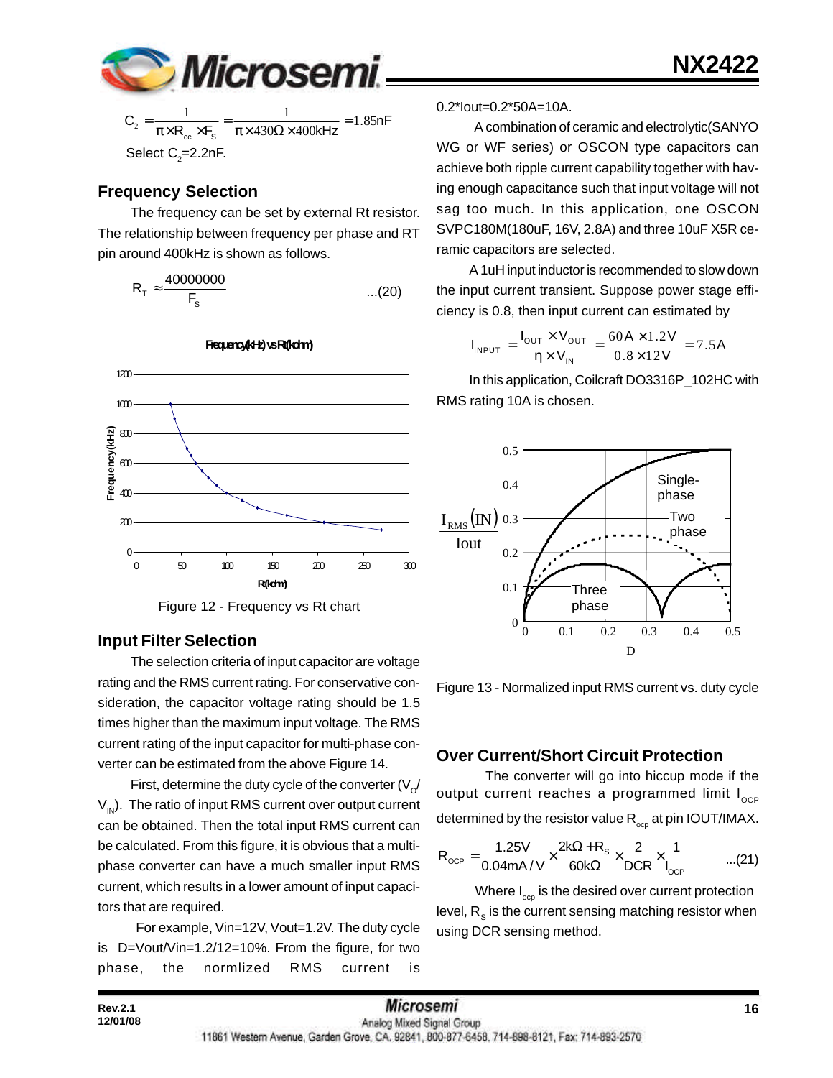

$$
C_2 = \frac{1}{\pi \times R_{cc} \times F_s} = \frac{1}{\pi \times 430\Omega \times 400kHz} = 1.85nF
$$
  
Select C<sub>2</sub>=2.2nF.

### **Frequency Selection**

The frequency can be set by external Rt resistor. The relationship between frequency per phase and RT pin around 400kHz is shown as follows.

$$
R_{\tau} \approx \frac{40000000}{F_s} \qquad \qquad \dots (20)
$$



**Frequency(kHz) vs Rt(kohm)**

Figure 12 - Frequency vs Rt chart

#### **Input Filter Selection**

The selection criteria of input capacitor are voltage rating and the RMS current rating. For conservative consideration, the capacitor voltage rating should be 1.5 times higher than the maximum input voltage. The RMS current rating of the input capacitor for multi-phase converter can be estimated from the above Figure 14.

First, determine the duty cycle of the converter (V $_{\rm \odot}$ /  $V_{1N}$ ). The ratio of input RMS current over output current can be obtained. Then the total input RMS current can be calculated. From this figure, it is obvious that a multiphase converter can have a much smaller input RMS current, which results in a lower amount of input capacitors that are required.

 For example, Vin=12V, Vout=1.2V. The duty cycle is D=Vout/Vin=1.2/12=10%. From the figure, for two phase, the normlized RMS current is

#### 0.2\*Iout=0.2\*50A=10A.

 A combination of ceramic and electrolytic(SANYO WG or WF series) or OSCON type capacitors can achieve both ripple current capability together with having enough capacitance such that input voltage will not sag too much. In this application, one OSCON SVPC180M(180uF, 16V, 2.8A) and three 10uF X5R ceramic capacitors are selected.

A 1uH input inductor is recommended to slow down the input current transient. Suppose power stage efficiency is 0.8, then input current can estimated by

$$
I_{INPUT} = \frac{I_{OUT} \times V_{OUT}}{\eta \times V_{IN}} = \frac{60A \times 1.2V}{0.8 \times 12V} = 7.5A
$$

In this application, Coilcraft DO3316P\_102HC with RMS rating 10A is chosen.



Figure 13 - Normalized input RMS current vs. duty cycle

### **Over Current/Short Circuit Protection**

The converter will go into hiccup mode if the output current reaches a programmed limit  $I_{\text{Cep}}$ determined by the resistor value  $\mathsf{R}_{_{\mathrm{ocp}}}$  at pin IOUT/IMAX.

$$
R_{OCP} = \frac{1.25V}{0.04mA/V} \times \frac{2k\Omega + R_s}{60k\Omega} \times \frac{2}{DCR} \times \frac{1}{I_{OCP}} \quad ...(21)
$$

Where  $I_{\text{opp}}$  is the desired over current protection level,  $\mathsf{R}_{_\mathbf{S}}$  is the current sensing matching resistor when using DCR sensing method.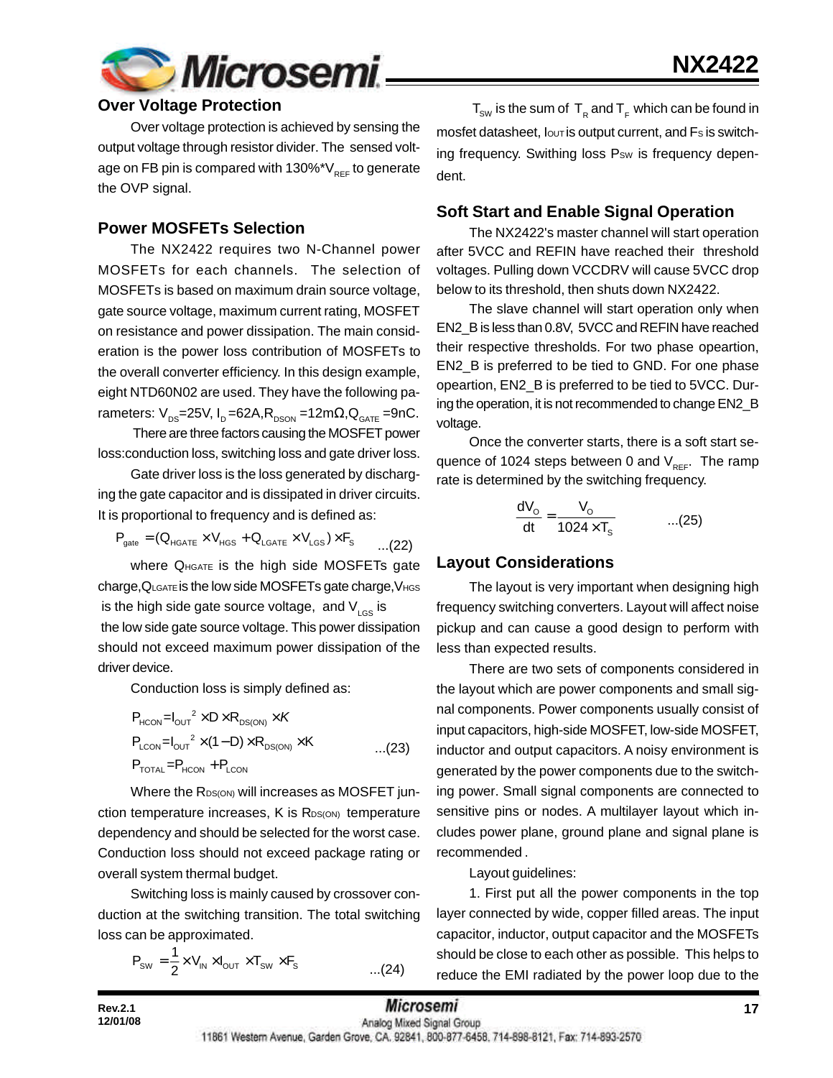

### **Over Voltage Protection**

Over voltage protection is achieved by sensing the output voltage through resistor divider. The sensed voltage on FB pin is compared with  $130\%$ \*V<sub>REF</sub> to generate the OVP signal.

#### **Power MOSFETs Selection**

The NX2422 requires two N-Channel power MOSFETs for each channels. The selection of MOSFETs is based on maximum drain source voltage, gate source voltage, maximum current rating, MOSFET on resistance and power dissipation. The main consideration is the power loss contribution of MOSFETs to the overall converter efficiency. In this design example, eight NTD60N02 are used. They have the following parameters:  $V_{DS}$ =25V, I<sub>D</sub> =62A, R<sub>DSON</sub> =12m $\Omega$ , Q<sub>GATE</sub> =9nC.

 There are three factors causing the MOSFET power loss:conduction loss, switching loss and gate driver loss.

Gate driver loss is the loss generated by discharging the gate capacitor and is dissipated in driver circuits. It is proportional to frequency and is defined as:

$$
\mathsf{P}_{\mathsf{gate}} = (\mathsf{Q}_{\mathsf{HGATE}} \times \mathsf{V}_{\mathsf{HGS}} + \mathsf{Q}_{\mathsf{LGATE}} \times \mathsf{V}_{\mathsf{LGS}}) \times \mathsf{F}_{\mathsf{S}} \qquad \qquad \ldots \text{(22)}
$$

where  $Q_{\text{HGATE}}$  is the high side MOSFETs gate charge, QLGATE is the low side MOSFETs gate charge, VHGS is the high side gate source voltage, and  $V_{LGS}$  is the low side gate source voltage. This power dissipation should not exceed maximum power dissipation of the driver device.

Conduction loss is simply defined as:

$$
P_{HCON} = I_{OUT}^2 \times D \times R_{DS(ON)} \times K
$$
  
\n
$$
P_{LCDN} = I_{OUT}^2 \times (1 - D) \times R_{DS(ON)} \times K
$$
...(23)  
\n
$$
P_{TOTAL} = P_{HCON} + P_{LCDN}
$$

Where the RDS(ON) will increases as MOSFET junction temperature increases,  $K$  is  $R_{DS(ON)}$  temperature dependency and should be selected for the worst case. Conduction loss should not exceed package rating or overall system thermal budget.

Switching loss is mainly caused by crossover conduction at the switching transition. The total switching loss can be approximated.

$$
P_{\text{sw}} = \frac{1}{2} \times V_{\text{IN}} \times I_{\text{OUT}} \times T_{\text{sw}} \times F_{\text{s}}
$$
...(24)

 ${\sf T}_{_{\sf SW}}$  is the sum of  $\, {\sf T}_{_{\sf R}}$  and  ${\sf T}_{_{\sf F}}$  which can be found in mosfet datasheet,  $I_{\text{OUT}}$  is output current, and  $Fs$  is switching frequency. Swithing loss Psw is frequency dependent.

### **Soft Start and Enable Signal Operation**

The NX2422's master channel will start operation after 5VCC and REFIN have reached their threshold voltages. Pulling down VCCDRV will cause 5VCC drop below to its threshold, then shuts down NX2422.

The slave channel will start operation only when EN2\_B is less than 0.8V, 5VCC and REFIN have reached their respective thresholds. For two phase opeartion, EN2\_B is preferred to be tied to GND. For one phase opeartion, EN2\_B is preferred to be tied to 5VCC. During the operation, it is not recommended to change EN2\_B voltage.

Once the converter starts, there is a soft start sequence of 1024 steps between 0 and  $V_{RFF}$ . The ramp rate is determined by the switching frequency.

$$
\frac{dV_o}{dt} = \frac{V_o}{1024 \times T_s} \qquad \qquad \dots (25)
$$

#### **Layout Considerations**

The layout is very important when designing high frequency switching converters. Layout will affect noise pickup and can cause a good design to perform with less than expected results.

There are two sets of components considered in the layout which are power components and small signal components. Power components usually consist of input capacitors, high-side MOSFET, low-side MOSFET, inductor and output capacitors. A noisy environment is generated by the power components due to the switching power. Small signal components are connected to sensitive pins or nodes. A multilayer layout which includes power plane, ground plane and signal plane is recommended .

Layout guidelines:

1. First put all the power components in the top layer connected by wide, copper filled areas. The input capacitor, inductor, output capacitor and the MOSFETs should be close to each other as possible. This helps to reduce the EMI radiated by the power loop due to the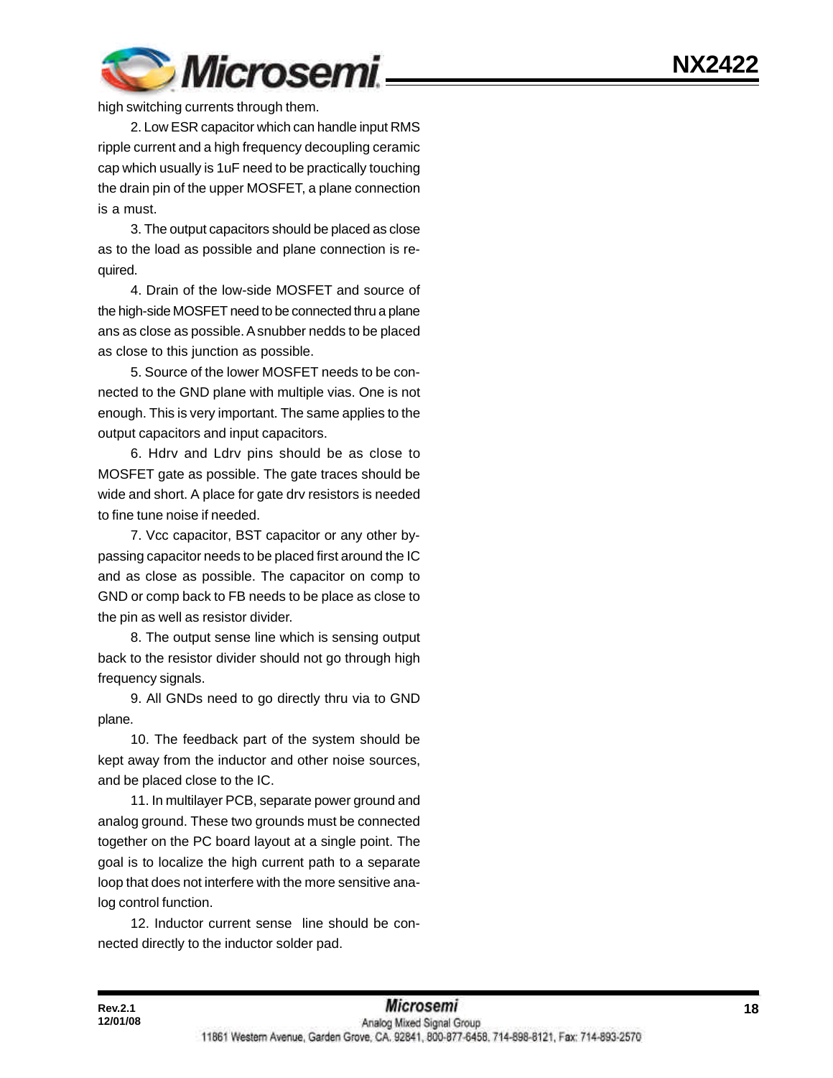

high switching currents through them.

2. Low ESR capacitor which can handle input RMS ripple current and a high frequency decoupling ceramic cap which usually is 1uF need to be practically touching the drain pin of the upper MOSFET, a plane connection is a must.

3. The output capacitors should be placed as close as to the load as possible and plane connection is required.

4. Drain of the low-side MOSFET and source of the high-side MOSFET need to be connected thru a plane ans as close as possible. A snubber nedds to be placed as close to this junction as possible.

5. Source of the lower MOSFET needs to be connected to the GND plane with multiple vias. One is not enough. This is very important. The same applies to the output capacitors and input capacitors.

6. Hdrv and Ldrv pins should be as close to MOSFET gate as possible. The gate traces should be wide and short. A place for gate drv resistors is needed to fine tune noise if needed.

7. Vcc capacitor, BST capacitor or any other bypassing capacitor needs to be placed first around the IC and as close as possible. The capacitor on comp to GND or comp back to FB needs to be place as close to the pin as well as resistor divider.

8. The output sense line which is sensing output back to the resistor divider should not go through high frequency signals.

9. All GNDs need to go directly thru via to GND plane.

10. The feedback part of the system should be kept away from the inductor and other noise sources, and be placed close to the IC.

11. In multilayer PCB, separate power ground and analog ground. These two grounds must be connected together on the PC board layout at a single point. The goal is to localize the high current path to a separate loop that does not interfere with the more sensitive analog control function.

12. Inductor current sense line should be connected directly to the inductor solder pad.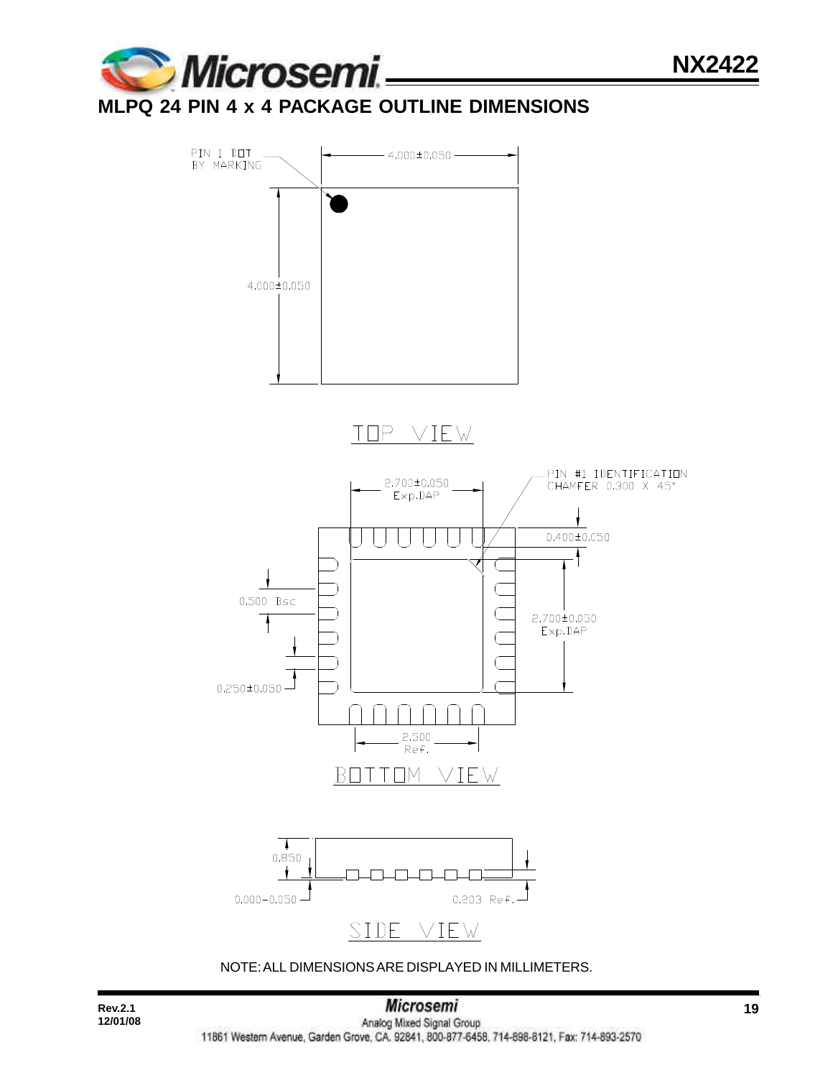

# **MLPQ 24 PIN 4 x 4 PACKAGE OUTLINE DIMENSIONS**



NOTE: ALL DIMENSIONS ARE DISPLAYED IN MILLIMETERS.